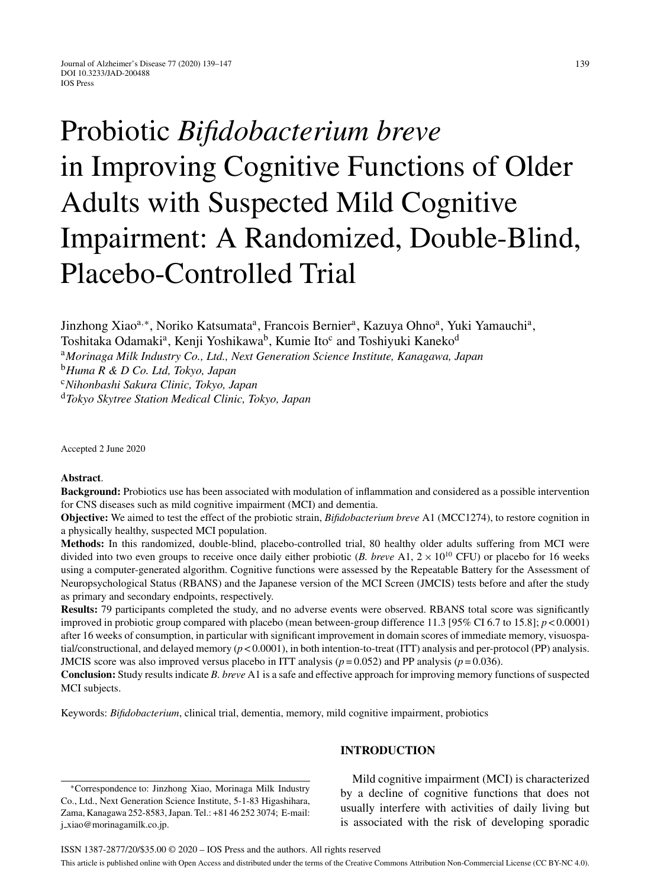# Probiotic *Bifidobacterium breve* in Improving Cognitive Functions of Older Adults with Suspected Mild Cognitive Impairment: A Randomized, Double-Blind, Placebo-Controlled Trial

Jinzhong Xiao<sup>a,∗</sup>, Noriko Katsumata<sup>a</sup>, Francois Bernier<sup>a</sup>, Kazuya Ohno<sup>a</sup>, Yuki Yamauchi<sup>a</sup>,

Toshitaka Odamaki<sup>a</sup>, Kenji Yoshikawa<sup>b</sup>, Kumie Ito<sup>c</sup> and Toshiyuki Kaneko<sup>d</sup>

<sup>a</sup>*Morinaga Milk Industry Co., Ltd., Next Generation Science Institute, Kanagawa, Japan*

<sup>b</sup>*Huma R & D Co. Ltd, Tokyo, Japan*

<sup>c</sup>*Nihonbashi Sakura Clinic, Tokyo, Japan*

<sup>d</sup>*Tokyo Skytree Station Medical Clinic, Tokyo, Japan*

Accepted 2 June 2020

#### **Abstract**.

**Background:** Probiotics use has been associated with modulation of inflammation and considered as a possible intervention for CNS diseases such as mild cognitive impairment (MCI) and dementia.

**Objective:** We aimed to test the effect of the probiotic strain, *Bifidobacterium breve* A1 (MCC1274), to restore cognition in a physically healthy, suspected MCI population.

**Methods:** In this randomized, double-blind, placebo-controlled trial, 80 healthy older adults suffering from MCI were divided into two even groups to receive once daily either probiotic  $(B. \text{ *breve* A1, 2 \times 10^{10} CFU})$  or placebo for 16 weeks using a computer-generated algorithm. Cognitive functions were assessed by the Repeatable Battery for the Assessment of Neuropsychological Status (RBANS) and the Japanese version of the MCI Screen (JMCIS) tests before and after the study as primary and secondary endpoints, respectively.

**Results:** 79 participants completed the study, and no adverse events were observed. RBANS total score was significantly improved in probiotic group compared with placebo (mean between-group difference 11.3 [95% CI 6.7 to 15.8]; *p* < 0.0001) after 16 weeks of consumption, in particular with significant improvement in domain scores of immediate memory, visuospatial/constructional, and delayed memory (*p* < 0.0001), in both intention-to-treat (ITT) analysis and per-protocol (PP) analysis. JMCIS score was also improved versus placebo in ITT analysis ( $p = 0.052$ ) and PP analysis ( $p = 0.036$ ).

**Conclusion:** Study results indicate *B. breve* A1 is a safe and effective approach for improving memory functions of suspected MCI subjects.

Keywords: *Bifidobacterium*, clinical trial, dementia, memory, mild cognitive impairment, probiotics

∗Correspondence to: Jinzhong Xiao, Morinaga Milk Industry Co., Ltd., Next Generation Science Institute, 5-1-83 Higashihara, Zama, Kanagawa 252-8583, Japan. Tel.: +81 46 252 3074; E-mail: j [xiao@morinagamilk.co.jp](mailto:j_xiao@morinagamilk.co.jp).

## **INTRODUCTION**

Mild cognitive impairment (MCI) is characterized by a decline of cognitive functions that does not usually interfere with activities of daily living but is associated with the risk of developing sporadic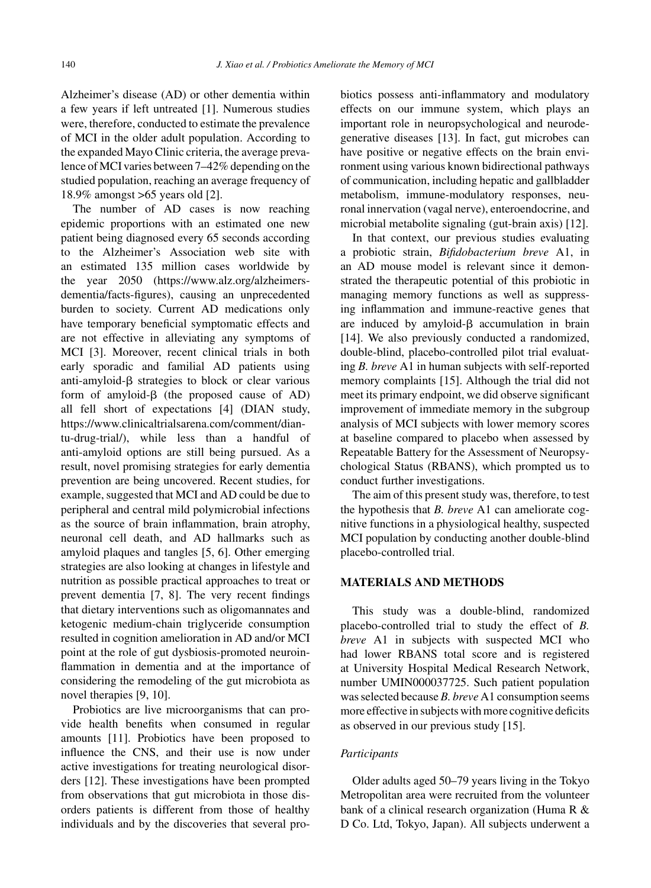Alzheimer's disease (AD) or other dementia within a few years if left untreated [1]. Numerous studies were, therefore, conducted to estimate the prevalence of MCI in the older adult population. According to the expanded Mayo Clinic criteria, the average prevalence of MCI varies between 7–42% depending on the studied population, reaching an average frequency of 18.9% amongst >65 years old [2].

The number of AD cases is now reaching epidemic proportions with an estimated one new patient being diagnosed every 65 seconds according to the Alzheimer's Association web site with an estimated 135 million cases worldwide by the year 2050 ([https://www.alz.org/alzheimers](https://www.alz.org/alzheimers-dementia/facts-figures)dementia/facts-figures), causing an unprecedented burden to society. Current AD medications only have temporary beneficial symptomatic effects and are not effective in alleviating any symptoms of MCI [3]. Moreover, recent clinical trials in both early sporadic and familial AD patients using anti-amyloid- $\beta$  strategies to block or clear various form of amyloid- $\beta$  (the proposed cause of AD) all fell short of expectations [4] (DIAN study, [https://www.clinicaltrialsarena.com/comment/dian](https://www.clinicaltrialsarena.com/comment/dian-tu-drug-trial/)tu-drug-trial/), while less than a handful of anti-amyloid options are still being pursued. As a result, novel promising strategies for early dementia prevention are being uncovered. Recent studies, for example, suggested that MCI and AD could be due to peripheral and central mild polymicrobial infections as the source of brain inflammation, brain atrophy, neuronal cell death, and AD hallmarks such as amyloid plaques and tangles [5, 6]. Other emerging strategies are also looking at changes in lifestyle and nutrition as possible practical approaches to treat or prevent dementia [7, 8]. The very recent findings that dietary interventions such as oligomannates and ketogenic medium-chain triglyceride consumption resulted in cognition amelioration in AD and/or MCI point at the role of gut dysbiosis-promoted neuroinflammation in dementia and at the importance of considering the remodeling of the gut microbiota as novel therapies [9, 10].

Probiotics are live microorganisms that can provide health benefits when consumed in regular amounts [11]. Probiotics have been proposed to influence the CNS, and their use is now under active investigations for treating neurological disorders [12]. These investigations have been prompted from observations that gut microbiota in those disorders patients is different from those of healthy individuals and by the discoveries that several probiotics possess anti-inflammatory and modulatory effects on our immune system, which plays an important role in neuropsychological and neurodegenerative diseases [13]. In fact, gut microbes can have positive or negative effects on the brain environment using various known bidirectional pathways of communication, including hepatic and gallbladder metabolism, immune-modulatory responses, neuronal innervation (vagal nerve), enteroendocrine, and microbial metabolite signaling (gut-brain axis) [12].

In that context, our previous studies evaluating a probiotic strain, *Bifidobacterium breve* A1, in an AD mouse model is relevant since it demonstrated the therapeutic potential of this probiotic in managing memory functions as well as suppressing inflammation and immune-reactive genes that are induced by amyloid- $\beta$  accumulation in brain [14]. We also previously conducted a randomized, double-blind, placebo-controlled pilot trial evaluating *B. breve* A1 in human subjects with self-reported memory complaints [15]. Although the trial did not meet its primary endpoint, we did observe significant improvement of immediate memory in the subgroup analysis of MCI subjects with lower memory scores at baseline compared to placebo when assessed by Repeatable Battery for the Assessment of Neuropsychological Status (RBANS), which prompted us to conduct further investigations.

The aim of this present study was, therefore, to test the hypothesis that *B. breve* A1 can ameliorate cognitive functions in a physiological healthy, suspected MCI population by conducting another double-blind placebo-controlled trial.

# **MATERIALS AND METHODS**

This study was a double-blind, randomized placebo-controlled trial to study the effect of *B. breve* A1 in subjects with suspected MCI who had lower RBANS total score and is registered at University Hospital Medical Research Network, number UMIN000037725. Such patient population was selected because *B. breve* A1 consumption seems more effective in subjects with more cognitive deficits as observed in our previous study [15].

#### *Participants*

Older adults aged 50–79 years living in the Tokyo Metropolitan area were recruited from the volunteer bank of a clinical research organization (Huma R & D Co. Ltd, Tokyo, Japan). All subjects underwent a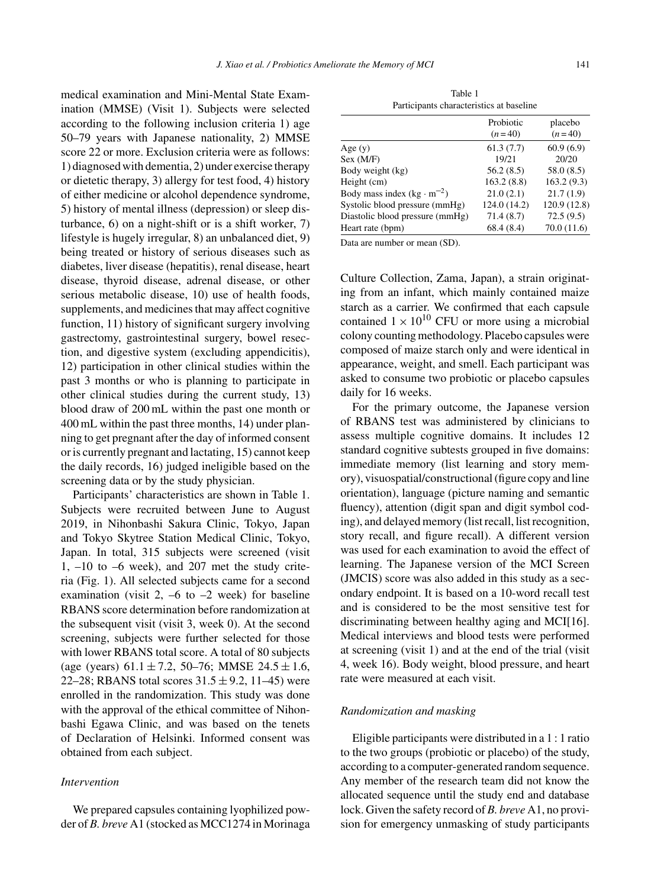medical examination and Mini-Mental State Examination (MMSE) (Visit 1). Subjects were selected according to the following inclusion criteria 1) age 50–79 years with Japanese nationality, 2) MMSE score 22 or more. Exclusion criteria were as follows: 1) diagnosed with dementia, 2) under exercise therapy or dietetic therapy, 3) allergy for test food, 4) history of either medicine or alcohol dependence syndrome, 5) history of mental illness (depression) or sleep disturbance, 6) on a night-shift or is a shift worker, 7) lifestyle is hugely irregular, 8) an unbalanced diet, 9) being treated or history of serious diseases such as diabetes, liver disease (hepatitis), renal disease, heart disease, thyroid disease, adrenal disease, or other serious metabolic disease, 10) use of health foods, supplements, and medicines that may affect cognitive function, 11) history of significant surgery involving gastrectomy, gastrointestinal surgery, bowel resection, and digestive system (excluding appendicitis), 12) participation in other clinical studies within the past 3 months or who is planning to participate in other clinical studies during the current study, 13) blood draw of 200 mL within the past one month or 400 mL within the past three months, 14) under planning to get pregnant after the day of informed consent or is currently pregnant and lactating, 15) cannot keep the daily records, 16) judged ineligible based on the screening data or by the study physician.

Participants' characteristics are shown in Table 1. Subjects were recruited between June to August 2019, in Nihonbashi Sakura Clinic, Tokyo, Japan and Tokyo Skytree Station Medical Clinic, Tokyo, Japan. In total, 315 subjects were screened (visit 1, –10 to –6 week), and 207 met the study criteria (Fig. 1). All selected subjects came for a second examination (visit 2,  $-6$  to  $-2$  week) for baseline RBANS score determination before randomization at the subsequent visit (visit 3, week 0). At the second screening, subjects were further selected for those with lower RBANS total score. A total of 80 subjects (age (years)  $61.1 \pm 7.2$ , 50–76; MMSE  $24.5 \pm 1.6$ , 22–28; RBANS total scores  $31.5 \pm 9.2$ ,  $11-45$ ) were enrolled in the randomization. This study was done with the approval of the ethical committee of Nihonbashi Egawa Clinic, and was based on the tenets of Declaration of Helsinki. Informed consent was obtained from each subject.

# *Intervention*

We prepared capsules containing lyophilized powder of *B. breve* A1 (stocked as MCC1274 in Morinaga

Table 1 Participants characteristics at baseline

|                                     | Probiotic<br>$(n=40)$ | placebo<br>$(n=40)$ |
|-------------------------------------|-----------------------|---------------------|
| Age $(y)$                           | 61.3(7.7)             | 60.9(6.9)           |
| Sex (M/F)                           | 19/21                 | 20/20               |
| Body weight (kg)                    | 56.2(8.5)             | 58.0(8.5)           |
| Height (cm)                         | 163.2(8.8)            | 163.2(9.3)          |
| Body mass index $(kg \cdot m^{-2})$ | 21.0(2.1)             | 21.7(1.9)           |
| Systolic blood pressure (mmHg)      | 124.0 (14.2)          | 120.9 (12.8)        |
| Diastolic blood pressure (mmHg)     | 71.4(8.7)             | 72.5(9.5)           |
| Heart rate (bpm)                    | 68.4(8.4)             | 70.0(11.6)          |

Data are number or mean (SD).

Culture Collection, Zama, Japan), a strain originating from an infant, which mainly contained maize starch as a carrier. We confirmed that each capsule contained  $1 \times 10^{10}$  CFU or more using a microbial colony counting methodology. Placebo capsules were composed of maize starch only and were identical in appearance, weight, and smell. Each participant was asked to consume two probiotic or placebo capsules daily for 16 weeks.

For the primary outcome, the Japanese version of RBANS test was administered by clinicians to assess multiple cognitive domains. It includes 12 standard cognitive subtests grouped in five domains: immediate memory (list learning and story memory), visuospatial/constructional (figure copy and line orientation), language (picture naming and semantic fluency), attention (digit span and digit symbol coding), and delayed memory (list recall, list recognition, story recall, and figure recall). A different version was used for each examination to avoid the effect of learning. The Japanese version of the MCI Screen (JMCIS) score was also added in this study as a secondary endpoint. It is based on a 10-word recall test and is considered to be the most sensitive test for discriminating between healthy aging and MCI[16]. Medical interviews and blood tests were performed at screening (visit 1) and at the end of the trial (visit 4, week 16). Body weight, blood pressure, and heart rate were measured at each visit.

# *Randomization and masking*

Eligible participants were distributed in a 1 : 1 ratio to the two groups (probiotic or placebo) of the study, according to a computer-generated random sequence. Any member of the research team did not know the allocated sequence until the study end and database lock. Given the safety record of *B. breve* A1, no provision for emergency unmasking of study participants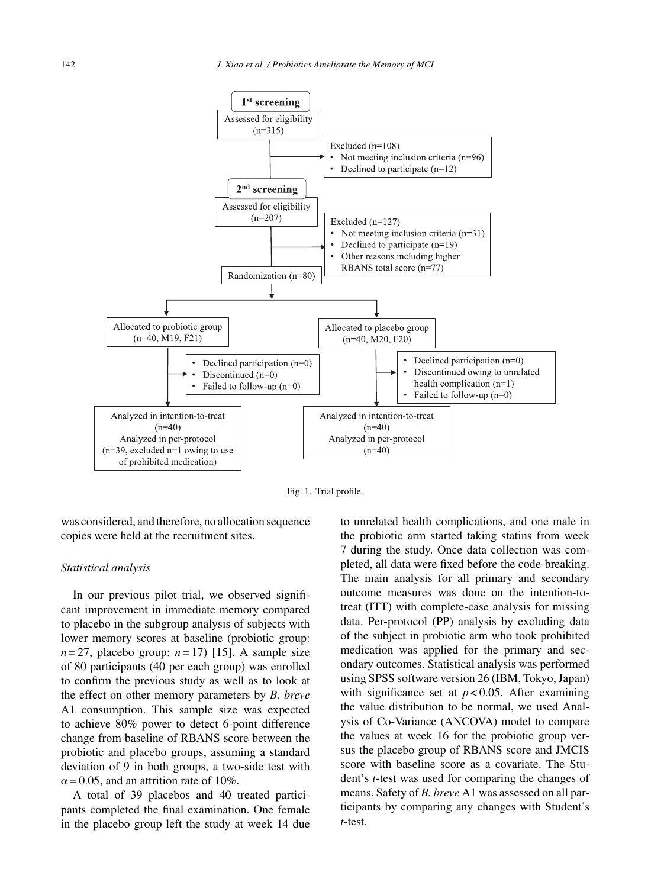

Fig. 1. Trial profile.

was considered, and therefore, no allocation sequence copies were held at the recruitment sites.

#### *Statistical analysis*

In our previous pilot trial, we observed significant improvement in immediate memory compared to placebo in the subgroup analysis of subjects with lower memory scores at baseline (probiotic group:  $n=27$ , placebo group:  $n=17$ ) [15]. A sample size of 80 participants (40 per each group) was enrolled to confirm the previous study as well as to look at the effect on other memory parameters by *B. breve* A1 consumption. This sample size was expected to achieve 80% power to detect 6-point difference change from baseline of RBANS score between the probiotic and placebo groups, assuming a standard deviation of 9 in both groups, a two-side test with  $\alpha$  = 0.05, and an attrition rate of 10%.

A total of 39 placebos and 40 treated participants completed the final examination. One female in the placebo group left the study at week 14 due to unrelated health complications, and one male in the probiotic arm started taking statins from week 7 during the study. Once data collection was completed, all data were fixed before the code-breaking. The main analysis for all primary and secondary outcome measures was done on the intention-totreat (ITT) with complete-case analysis for missing data. Per-protocol (PP) analysis by excluding data of the subject in probiotic arm who took prohibited medication was applied for the primary and secondary outcomes. Statistical analysis was performed using SPSS software version 26 (IBM, Tokyo, Japan) with significance set at  $p < 0.05$ . After examining the value distribution to be normal, we used Analysis of Co-Variance (ANCOVA) model to compare the values at week 16 for the probiotic group versus the placebo group of RBANS score and JMCIS score with baseline score as a covariate. The Student's *t*-test was used for comparing the changes of means. Safety of *B. breve* A1 was assessed on all participants by comparing any changes with Student's *t*-test.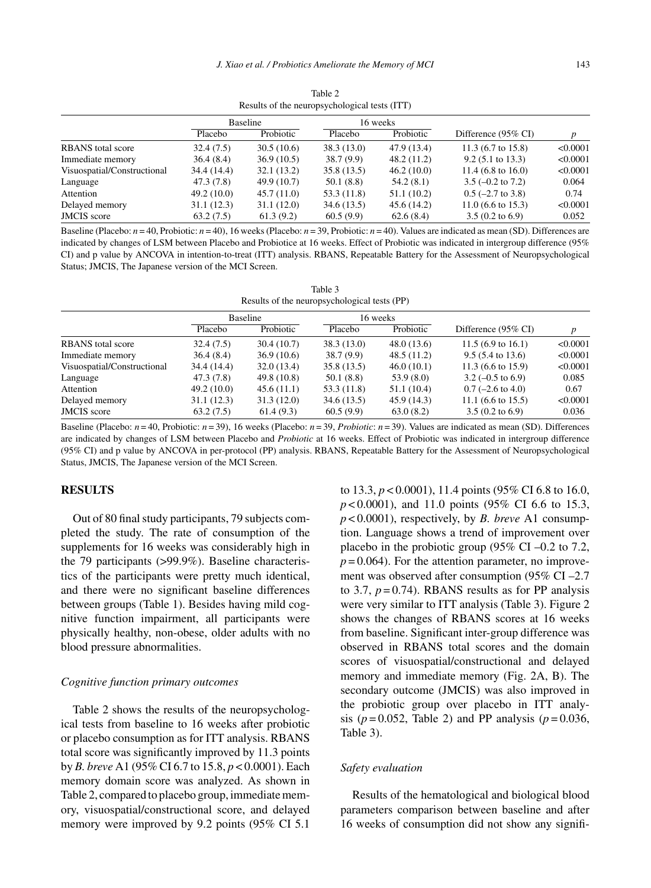| Results of the neuropsychological tests (11 I) |             |             |            |             |                               |          |  |  |
|------------------------------------------------|-------------|-------------|------------|-------------|-------------------------------|----------|--|--|
|                                                | Baseline    |             | 16 weeks   |             |                               |          |  |  |
|                                                | Placebo     | Probiotic   | Placebo    | Probiotic   | Difference (95% CI)           | p        |  |  |
| <b>RBANS</b> total score                       | 32.4(7.5)   | 30.5(10.6)  | 38.3(13.0) | 47.9 (13.4) | 11.3 $(6.7 \text{ to } 15.8)$ | < 0.0001 |  |  |
| Immediate memory                               | 36.4(8.4)   | 36.9(10.5)  | 38.7(9.9)  | 48.2(11.2)  | $9.2$ (5.1 to 13.3)           | < 0.0001 |  |  |
| Visuospatial/Constructional                    | 34.4 (14.4) | 32.1(13.2)  | 35.8(13.5) | 46.2(10.0)  | 11.4 $(6.8 \text{ to } 16.0)$ | < 0.0001 |  |  |
| Language                                       | 47.3 (7.8)  | 49.9 (10.7) | 50.1(8.8)  | 54.2(8.1)   | $3.5 (-0.2 \text{ to } 7.2)$  | 0.064    |  |  |
| Attention                                      | 49.2(10.0)  | 45.7(11.0)  | 53.3(11.8) | 51.1(10.2)  | $0.5$ (-2.7 to 3.8)           | 0.74     |  |  |
| Delayed memory                                 | 31.1(12.3)  | 31.1(12.0)  | 34.6(13.5) | 45.6(14.2)  | $11.0$ (6.6 to 15.3)          | < 0.0001 |  |  |
| <b>JMCIS</b> score                             | 63.2(7.5)   | 61.3(9.2)   | 60.5(9.9)  | 62.6(8.4)   | $3.5(0.2 \text{ to } 6.9)$    | 0.052    |  |  |
|                                                |             |             |            |             |                               |          |  |  |

Table 2 Results of the neuropsychological tests (ITT)

Baseline (Placebo:  $n = 40$ , Probiotic:  $n = 40$ ), 16 weeks (Placebo:  $n = 39$ , Probiotic:  $n = 40$ ). Values are indicated as mean (SD). Differences are indicated by changes of LSM between Placebo and Probiotice at 16 weeks. Effect of Probiotic was indicated in intergroup difference (95% CI) and p value by ANCOVA in intention-to-treat (ITT) analysis. RBANS, Repeatable Battery for the Assessment of Neuropsychological Status; JMCIS, The Japanese version of the MCI Screen.

| Table 3                                      |  |
|----------------------------------------------|--|
| Results of the neuropsychological tests (PP) |  |

|                             | <b>Baseline</b> |             | 16 weeks    |            |                               |          |
|-----------------------------|-----------------|-------------|-------------|------------|-------------------------------|----------|
|                             | Placebo         | Probiotic   | Placebo     | Probiotic  | Difference (95% CI)           | p        |
| <b>RBANS</b> total score    | 32.4(7.5)       | 30.4(10.7)  | 38.3(13.0)  | 48.0(13.6) | 11.5 $(6.9 \text{ to } 16.1)$ | < 0.0001 |
| Immediate memory            | 36.4(8.4)       | 36.9(10.6)  | 38.7(9.9)   | 48.5(11.2) | $9.5(5.4 \text{ to } 13.6)$   | < 0.0001 |
| Visuospatial/Constructional | 34.4 (14.4)     | 32.0(13.4)  | 35.8(13.5)  | 46.0(10.1) | 11.3 $(6.6 \text{ to } 15.9)$ | < 0.0001 |
| Language                    | 47.3 (7.8)      | 49.8 (10.8) | 50.1(8.8)   | 53.9 (8.0) | $3.2 (-0.5 \text{ to } 6.9)$  | 0.085    |
| Attention                   | 49.2(10.0)      | 45.6(11.1)  | 53.3 (11.8) | 51.1(10.4) | $0.7$ (-2.6 to 4.0)           | 0.67     |
| Delayed memory              | 31.1(12.3)      | 31.3(12.0)  | 34.6(13.5)  | 45.9(14.3) | 11.1 $(6.6 \text{ to } 15.5)$ | < 0.0001 |
| <b>JMCIS</b> score          | 63.2(7.5)       | 61.4(9.3)   | 60.5(9.9)   | 63.0(8.2)  | $3.5(0.2 \text{ to } 6.9)$    | 0.036    |

Baseline (Placebo: *n* = 40, Probiotic: *n* = 39), 16 weeks (Placebo: *n* = 39, *Probiotic*: *n* = 39). Values are indicated as mean (SD). Differences are indicated by changes of LSM between Placebo and *Probiotic* at 16 weeks. Effect of Probiotic was indicated in intergroup difference (95% CI) and p value by ANCOVA in per-protocol (PP) analysis. RBANS, Repeatable Battery for the Assessment of Neuropsychological Status, JMCIS, The Japanese version of the MCI Screen.

## **RESULTS**

Out of 80 final study participants, 79 subjects completed the study. The rate of consumption of the supplements for 16 weeks was considerably high in the 79 participants (>99.9%). Baseline characteristics of the participants were pretty much identical, and there were no significant baseline differences between groups (Table 1). Besides having mild cognitive function impairment, all participants were physically healthy, non-obese, older adults with no blood pressure abnormalities.

#### *Cognitive function primary outcomes*

Table 2 shows the results of the neuropsychological tests from baseline to 16 weeks after probiotic or placebo consumption as for ITT analysis. RBANS total score was significantly improved by 11.3 points by *B. breve* A1 (95% CI 6.7 to 15.8, *p* < 0.0001). Each memory domain score was analyzed. As shown in Table 2, compared to placebo group, immediate memory, visuospatial/constructional score, and delayed memory were improved by 9.2 points (95% CI 5.1

to 13.3, *p* < 0.0001), 11.4 points (95% CI 6.8 to 16.0, *p* < 0.0001), and 11.0 points (95% CI 6.6 to 15.3, *p* < 0.0001), respectively, by *B. breve* A1 consumption. Language shows a trend of improvement over placebo in the probiotic group (95% CI –0.2 to 7.2,  $p = 0.064$ ). For the attention parameter, no improvement was observed after consumption (95% CI –2.7 to 3.7,  $p = 0.74$ ). RBANS results as for PP analysis were very similar to ITT analysis (Table 3). Figure 2 shows the changes of RBANS scores at 16 weeks from baseline. Significant inter-group difference was observed in RBANS total scores and the domain scores of visuospatial/constructional and delayed memory and immediate memory (Fig. 2A, B). The secondary outcome (JMCIS) was also improved in the probiotic group over placebo in ITT analysis ( $p = 0.052$ , Table 2) and PP analysis ( $p = 0.036$ , Table 3).

## *Safety evaluation*

Results of the hematological and biological blood parameters comparison between baseline and after 16 weeks of consumption did not show any signifi-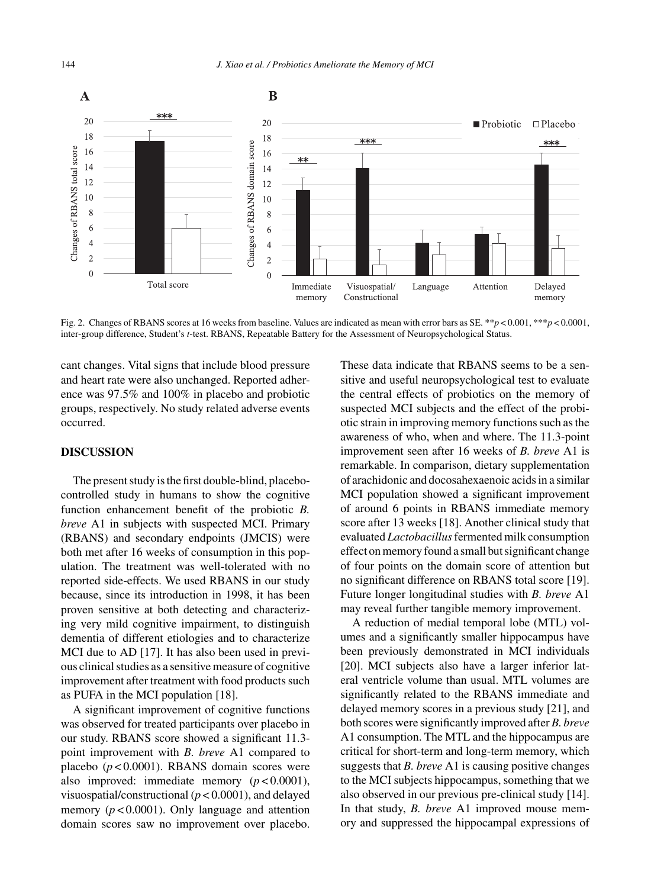

Fig. 2. Changes of RBANS scores at 16 weeks from baseline. Values are indicated as mean with error bars as SE. \*\**p* < 0.001, \*\*\**p* < 0.0001, inter-group difference, Student's *t*-test. RBANS, Repeatable Battery for the Assessment of Neuropsychological Status.

cant changes. Vital signs that include blood pressure and heart rate were also unchanged. Reported adherence was 97.5% and 100% in placebo and probiotic groups, respectively. No study related adverse events occurred.

# **DISCUSSION**

The present study is the first double-blind, placebocontrolled study in humans to show the cognitive function enhancement benefit of the probiotic *B. breve* A1 in subjects with suspected MCI. Primary (RBANS) and secondary endpoints (JMCIS) were both met after 16 weeks of consumption in this population. The treatment was well-tolerated with no reported side-effects. We used RBANS in our study because, since its introduction in 1998, it has been proven sensitive at both detecting and characterizing very mild cognitive impairment, to distinguish dementia of different etiologies and to characterize MCI due to AD [17]. It has also been used in previous clinical studies as a sensitive measure of cognitive improvement after treatment with food products such as PUFA in the MCI population [18].

A significant improvement of cognitive functions was observed for treated participants over placebo in our study. RBANS score showed a significant 11.3 point improvement with *B. breve* A1 compared to placebo (*p* < 0.0001). RBANS domain scores were also improved: immediate memory (*p* < 0.0001), visuospatial/constructional (*p* < 0.0001), and delayed memory  $(p < 0.0001)$ . Only language and attention domain scores saw no improvement over placebo.

These data indicate that RBANS seems to be a sensitive and useful neuropsychological test to evaluate the central effects of probiotics on the memory of suspected MCI subjects and the effect of the probiotic strain in improving memory functions such as the awareness of who, when and where. The 11.3-point improvement seen after 16 weeks of *B. breve* A1 is remarkable. In comparison, dietary supplementation of arachidonic and docosahexaenoic acids in a similar MCI population showed a significant improvement of around 6 points in RBANS immediate memory score after 13 weeks [18]. Another clinical study that evaluated *Lactobacillus*fermented milk consumption effect on memory found a small but significant change of four points on the domain score of attention but no significant difference on RBANS total score [19]. Future longer longitudinal studies with *B. breve* A1 may reveal further tangible memory improvement.

A reduction of medial temporal lobe (MTL) volumes and a significantly smaller hippocampus have been previously demonstrated in MCI individuals [20]. MCI subjects also have a larger inferior lateral ventricle volume than usual. MTL volumes are significantly related to the RBANS immediate and delayed memory scores in a previous study [21], and both scores were significantly improved after *B. breve* A1 consumption. The MTL and the hippocampus are critical for short-term and long-term memory, which suggests that *B. breve* A1 is causing positive changes to the MCI subjects hippocampus, something that we also observed in our previous pre-clinical study [14]. In that study, *B. breve* A1 improved mouse memory and suppressed the hippocampal expressions of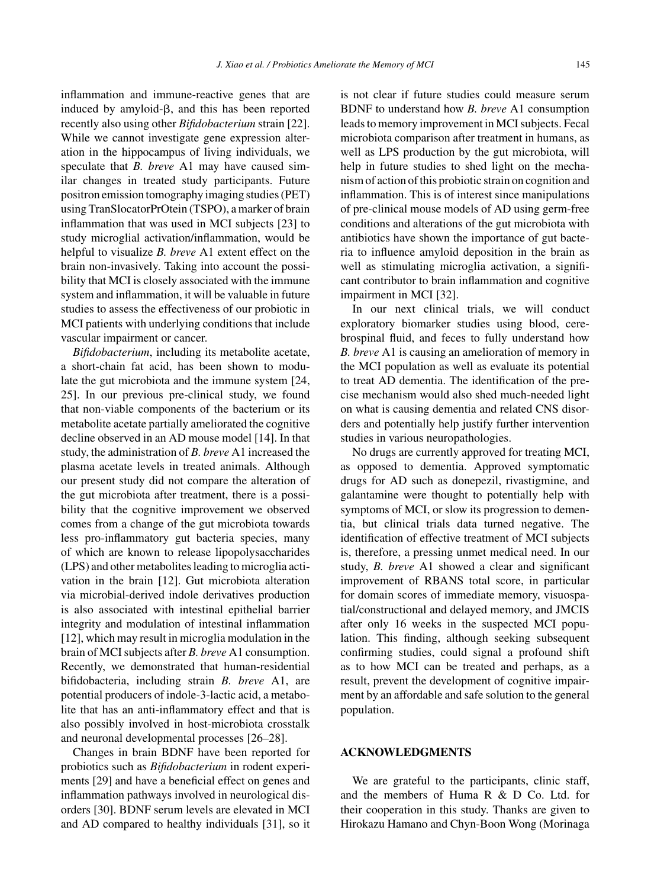inflammation and immune-reactive genes that are induced by amyloid- $\beta$ , and this has been reported recently also using other *Bifidobacterium* strain [22]. While we cannot investigate gene expression alteration in the hippocampus of living individuals, we speculate that *B. breve* A1 may have caused similar changes in treated study participants. Future positron emission tomography imaging studies (PET) using TranSlocatorPrOtein (TSPO), a marker of brain inflammation that was used in MCI subjects [23] to study microglial activation/inflammation, would be helpful to visualize *B. breve* A1 extent effect on the brain non-invasively. Taking into account the possibility that MCI is closely associated with the immune system and inflammation, it will be valuable in future studies to assess the effectiveness of our probiotic in MCI patients with underlying conditions that include vascular impairment or cancer.

*Bifidobacterium*, including its metabolite acetate, a short-chain fat acid, has been shown to modulate the gut microbiota and the immune system [24, 25]. In our previous pre-clinical study, we found that non-viable components of the bacterium or its metabolite acetate partially ameliorated the cognitive decline observed in an AD mouse model [14]. In that study, the administration of *B. breve* A1 increased the plasma acetate levels in treated animals. Although our present study did not compare the alteration of the gut microbiota after treatment, there is a possibility that the cognitive improvement we observed comes from a change of the gut microbiota towards less pro-inflammatory gut bacteria species, many of which are known to release lipopolysaccharides (LPS) and other metabolites leading to microglia activation in the brain [12]. Gut microbiota alteration via microbial-derived indole derivatives production is also associated with intestinal epithelial barrier integrity and modulation of intestinal inflammation [12], which may result in microglia modulation in the brain of MCI subjects after *B. breve* A1 consumption. Recently, we demonstrated that human-residential bifidobacteria, including strain *B. breve* A1, are potential producers of indole-3-lactic acid, a metabolite that has an anti-inflammatory effect and that is also possibly involved in host-microbiota crosstalk and neuronal developmental processes [26–28].

Changes in brain BDNF have been reported for probiotics such as *Bifidobacterium* in rodent experiments [29] and have a beneficial effect on genes and inflammation pathways involved in neurological disorders [30]. BDNF serum levels are elevated in MCI and AD compared to healthy individuals [31], so it is not clear if future studies could measure serum BDNF to understand how *B. breve* A1 consumption leads to memory improvement in MCI subjects. Fecal microbiota comparison after treatment in humans, as well as LPS production by the gut microbiota, will help in future studies to shed light on the mechanism of action of this probiotic strain on cognition and inflammation. This is of interest since manipulations of pre-clinical mouse models of AD using germ-free conditions and alterations of the gut microbiota with antibiotics have shown the importance of gut bacteria to influence amyloid deposition in the brain as well as stimulating microglia activation, a significant contributor to brain inflammation and cognitive impairment in MCI [32].

In our next clinical trials, we will conduct exploratory biomarker studies using blood, cerebrospinal fluid, and feces to fully understand how *B. breve* A1 is causing an amelioration of memory in the MCI population as well as evaluate its potential to treat AD dementia. The identification of the precise mechanism would also shed much-needed light on what is causing dementia and related CNS disorders and potentially help justify further intervention studies in various neuropathologies.

No drugs are currently approved for treating MCI, as opposed to dementia. Approved symptomatic drugs for AD such as donepezil, rivastigmine, and galantamine were thought to potentially help with symptoms of MCI, or slow its progression to dementia, but clinical trials data turned negative. The identification of effective treatment of MCI subjects is, therefore, a pressing unmet medical need. In our study, *B. breve* A1 showed a clear and significant improvement of RBANS total score, in particular for domain scores of immediate memory, visuospatial/constructional and delayed memory, and JMCIS after only 16 weeks in the suspected MCI population. This finding, although seeking subsequent confirming studies, could signal a profound shift as to how MCI can be treated and perhaps, as a result, prevent the development of cognitive impairment by an affordable and safe solution to the general population.

## **ACKNOWLEDGMENTS**

We are grateful to the participants, clinic staff, and the members of Huma R & D Co. Ltd. for their cooperation in this study. Thanks are given to Hirokazu Hamano and Chyn-Boon Wong (Morinaga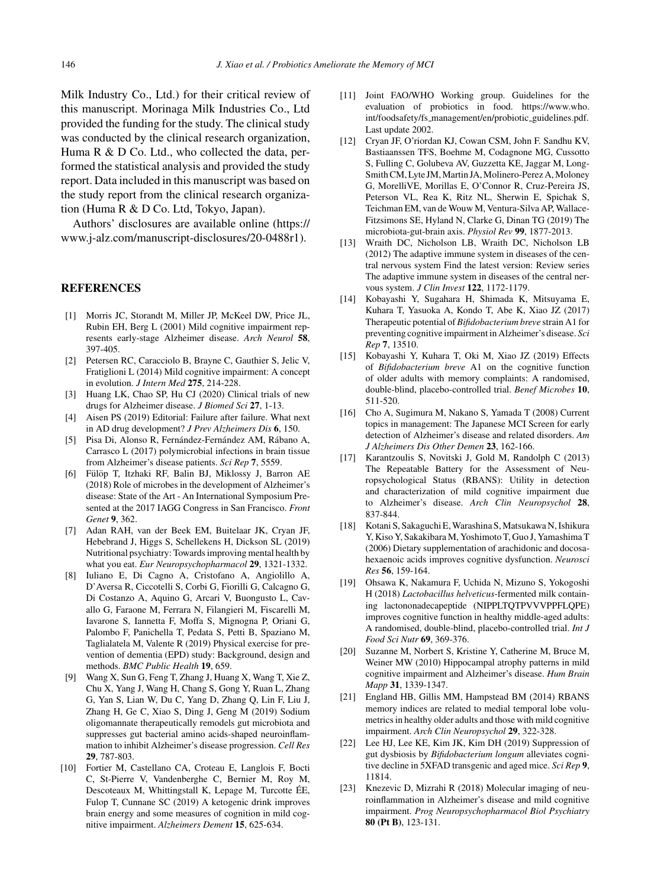Milk Industry Co., Ltd.) for their critical review of this manuscript. Morinaga Milk Industries Co., Ltd provided the funding for the study. The clinical study was conducted by the clinical research organization, Huma R & D Co. Ltd., who collected the data, performed the statistical analysis and provided the study report. Data included in this manuscript was based on the study report from the clinical research organization (Huma R & D Co. Ltd, Tokyo, Japan).

Authors' disclosures are available online ([https://](https://www.j-alz.com/manuscript-disclosures/20-0488r1) [www.j-alz.com/manuscript-disclosures/20-0488r1\)](https://www.j-alz.com/manuscript-disclosures/20-0488r1).

#### **REFERENCES**

- [1] Morris JC, Storandt M, Miller JP, McKeel DW, Price JL, Rubin EH, Berg L (2001) Mild cognitive impairment represents early-stage Alzheimer disease. *Arch Neurol* **58**, 397-405.
- [2] Petersen RC, Caracciolo B, Brayne C, Gauthier S, Jelic V, Fratiglioni L (2014) Mild cognitive impairment: A concept in evolution. *J Intern Med* **275**, 214-228.
- [3] Huang LK, Chao SP, Hu CJ (2020) Clinical trials of new drugs for Alzheimer disease. *J Biomed Sci* **27**, 1-13.
- [4] Aisen PS (2019) Editorial: Failure after failure. What next in AD drug development? *J Prev Alzheimers Dis* **6**, 150.
- [5] Pisa Di, Alonso R, Fernández-Fernández AM, Rábano A, Carrasco L (2017) polymicrobial infections in brain tissue from Alzheimer's disease patients. *Sci Rep* **7**, 5559.
- [6] Fülöp T, Itzhaki RF, Balin BJ, Miklossy J, Barron AE (2018) Role of microbes in the development of Alzheimer's disease: State of the Art - An International Symposium Presented at the 2017 IAGG Congress in San Francisco. *Front Genet* **9**, 362.
- [7] Adan RAH, van der Beek EM, Buitelaar JK, Cryan JF, Hebebrand J, Higgs S, Schellekens H, Dickson SL (2019) Nutritional psychiatry: Towards improving mental health by what you eat. *Eur Neuropsychopharmacol* **29**, 1321-1332.
- [8] Iuliano E, Di Cagno A, Cristofano A, Angiolillo A, D'Aversa R, Ciccotelli S, Corbi G, Fiorilli G, Calcagno G, Di Costanzo A, Aquino G, Arcari V, Buongusto L, Cavallo G, Faraone M, Ferrara N, Filangieri M, Fiscarelli M, Iavarone S, Iannetta F, Moffa S, Mignogna P, Oriani G, Palombo F, Panichella T, Pedata S, Petti B, Spaziano M, Taglialatela M, Valente R (2019) Physical exercise for prevention of dementia (EPD) study: Background, design and methods. *BMC Public Health* **19**, 659.
- [9] Wang X, Sun G, Feng T, Zhang J, Huang X, Wang T, Xie Z, Chu X, Yang J, Wang H, Chang S, Gong Y, Ruan L, Zhang G, Yan S, Lian W, Du C, Yang D, Zhang Q, Lin F, Liu J, Zhang H, Ge C, Xiao S, Ding J, Geng M (2019) Sodium oligomannate therapeutically remodels gut microbiota and suppresses gut bacterial amino acids-shaped neuroinflammation to inhibit Alzheimer's disease progression. *Cell Res* **29**, 787-803.
- [10] Fortier M, Castellano CA, Croteau E, Langlois F, Bocti C, St-Pierre V, Vandenberghe C, Bernier M, Roy M, Descoteaux M, Whittingstall K, Lepage M, Turcotte ÉE, Fulop T, Cunnane SC (2019) A ketogenic drink improves brain energy and some measures of cognition in mild cognitive impairment. *Alzheimers Dement* **15**, 625-634.
- [11] Joint FAO/WHO Working group. Guidelines for the evaluation of probiotics in food. [https://www.who.](https://www.who.int/foodsafety/fs_management/en/probiotic_guidelines.pdf) int/foodsafety/fs [management/en/probiotic](https://www.who.int/foodsafety/fs_management/en/probiotic_guidelines.pdf) guidelines.pdf. Last update 2002.
- [12] Cryan JF, O'riordan KJ, Cowan CSM, John F. Sandhu KV, Bastiaanssen TFS, Boehme M, Codagnone MG, Cussotto S, Fulling C, Golubeva AV, Guzzetta KE, Jaggar M, Long-Smith CM, Lyte JM, Martin JA, Molinero-Perez A, Moloney G, MorelliVE, Morillas E, O'Connor R, Cruz-Pereira JS, Peterson VL, Rea K, Ritz NL, Sherwin E, Spichak S, Teichman EM, van de Wouw M, Ventura-Silva AP, Wallace-Fitzsimons SE, Hyland N, Clarke G, Dinan TG (2019) The microbiota-gut-brain axis. *Physiol Rev* **99**, 1877-2013.
- [13] Wraith DC, Nicholson LB, Wraith DC, Nicholson LB (2012) The adaptive immune system in diseases of the central nervous system Find the latest version: Review series The adaptive immune system in diseases of the central nervous system. *J Clin Invest* **122**, 1172-1179.
- [14] Kobayashi Y, Sugahara H, Shimada K, Mitsuyama E, Kuhara T, Yasuoka A, Kondo T, Abe K, Xiao JZ (2017) Therapeutic potential of *Bifidobacterium breve* strain A1 for preventing cognitive impairment in Alzheimer's disease. *Sci Rep* **7**, 13510.
- [15] Kobayashi Y, Kuhara T, Oki M, Xiao JZ (2019) Effects of *Bifidobacterium breve* A1 on the cognitive function of older adults with memory complaints: A randomised, double-blind, placebo-controlled trial. *Benef Microbes* **10**, 511-520.
- [16] Cho A, Sugimura M, Nakano S, Yamada T (2008) Current topics in management: The Japanese MCI Screen for early detection of Alzheimer's disease and related disorders. *Am J Alzheimers Dis Other Demen* **23**, 162-166.
- [17] Karantzoulis S, Novitski J, Gold M, Randolph C (2013) The Repeatable Battery for the Assessment of Neuropsychological Status (RBANS): Utility in detection and characterization of mild cognitive impairment due to Alzheimer's disease. *Arch Clin Neuropsychol* **28**, 837-844.
- [18] Kotani S, Sakaguchi E, Warashina S, Matsukawa N, Ishikura Y, Kiso Y, Sakakibara M, Yoshimoto T, Guo J, Yamashima T (2006) Dietary supplementation of arachidonic and docosahexaenoic acids improves cognitive dysfunction. *Neurosci Res* **56**, 159-164.
- [19] Ohsawa K, Nakamura F, Uchida N, Mizuno S, Yokogoshi H (2018) *Lactobacillus helveticus*-fermented milk containing lactononadecapeptide (NIPPLTQTPVVVPPFLQPE) improves cognitive function in healthy middle-aged adults: A randomised, double-blind, placebo-controlled trial. *Int J Food Sci Nutr* **69**, 369-376.
- [20] Suzanne M, Norbert S, Kristine Y, Catherine M, Bruce M, Weiner MW (2010) Hippocampal atrophy patterns in mild cognitive impairment and Alzheimer's disease. *Hum Brain Mapp* **31**, 1339-1347.
- [21] England HB, Gillis MM, Hampstead BM (2014) RBANS memory indices are related to medial temporal lobe volumetrics in healthy older adults and those with mild cognitive impairment. *Arch Clin Neuropsychol* **29**, 322-328.
- [22] Lee HJ, Lee KE, Kim JK, Kim DH (2019) Suppression of gut dysbiosis by *Bifidobacterium longum* alleviates cognitive decline in 5XFAD transgenic and aged mice. *Sci Rep* **9**, 11814.
- [23] Knezevic D, Mizrahi R (2018) Molecular imaging of neuroinflammation in Alzheimer's disease and mild cognitive impairment. *Prog Neuropsychopharmacol Biol Psychiatry* **80 (Pt B)**, 123-131.